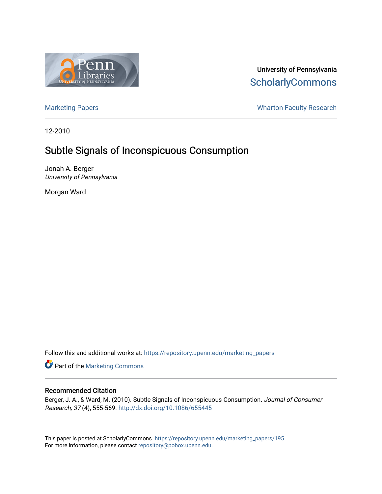

University of Pennsylvania **ScholarlyCommons** 

[Marketing Papers](https://repository.upenn.edu/marketing_papers) **Marketing Papers Marketing Papers Wharton Faculty Research** 

12-2010

# Subtle Signals of Inconspicuous Consumption

Jonah A. Berger University of Pennsylvania

Morgan Ward

Follow this and additional works at: [https://repository.upenn.edu/marketing\\_papers](https://repository.upenn.edu/marketing_papers?utm_source=repository.upenn.edu%2Fmarketing_papers%2F195&utm_medium=PDF&utm_campaign=PDFCoverPages)

Part of the [Marketing Commons](http://network.bepress.com/hgg/discipline/638?utm_source=repository.upenn.edu%2Fmarketing_papers%2F195&utm_medium=PDF&utm_campaign=PDFCoverPages)

### Recommended Citation

Berger, J. A., & Ward, M. (2010). Subtle Signals of Inconspicuous Consumption. Journal of Consumer Research, 37 (4), 555-569. <http://dx.doi.org/10.1086/655445>

This paper is posted at ScholarlyCommons. [https://repository.upenn.edu/marketing\\_papers/195](https://repository.upenn.edu/marketing_papers/195)  For more information, please contact [repository@pobox.upenn.edu.](mailto:repository@pobox.upenn.edu)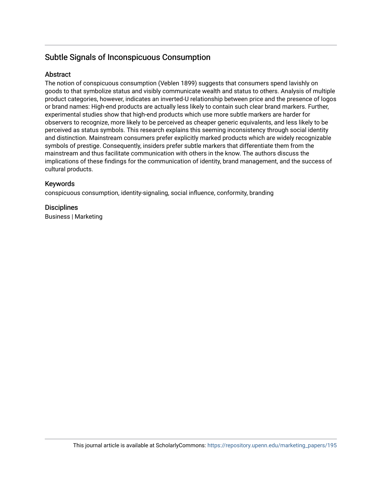# Subtle Signals of Inconspicuous Consumption

# **Abstract**

The notion of conspicuous consumption (Veblen 1899) suggests that consumers spend lavishly on goods to that symbolize status and visibly communicate wealth and status to others. Analysis of multiple product categories, however, indicates an inverted-U relationship between price and the presence of logos or brand names: High-end products are actually less likely to contain such clear brand markers. Further, experimental studies show that high-end products which use more subtle markers are harder for observers to recognize, more likely to be perceived as cheaper generic equivalents, and less likely to be perceived as status symbols. This research explains this seeming inconsistency through social identity and distinction. Mainstream consumers prefer explicitly marked products which are widely recognizable symbols of prestige. Consequently, insiders prefer subtle markers that differentiate them from the mainstream and thus facilitate communication with others in the know. The authors discuss the implications of these findings for the communication of identity, brand management, and the success of cultural products.

# Keywords

conspicuous consumption, identity-signaling, social influence, conformity, branding

# **Disciplines**

Business | Marketing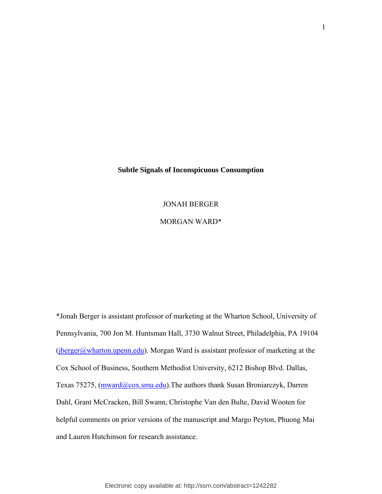#### **Subtle Signals of Inconspicuous Consumption**

# JONAH BERGER

### MORGAN WARD\*

\*Jonah Berger is assistant professor of marketing at the Wharton School, University of Pennsylvania, 700 Jon M. Huntsman Hall, 3730 Walnut Street, Philadelphia, PA 19104  $(jberger@wharton.upenn.edu)$ . Morgan Ward is assistant professor of marketing at the Cox School of Business, Southern Methodist University, 6212 Bishop Blvd. Dallas, Texas 75275, (mward@cox.smu.edu). The authors thank Susan Broniarczyk, Darren Dahl, Grant McCracken, Bill Swann, Christophe Van den Bulte, David Wooten for helpful comments on prior versions of the manuscript and Margo Peyton, Phuong Mai and Lauren Hutchinson for research assistance.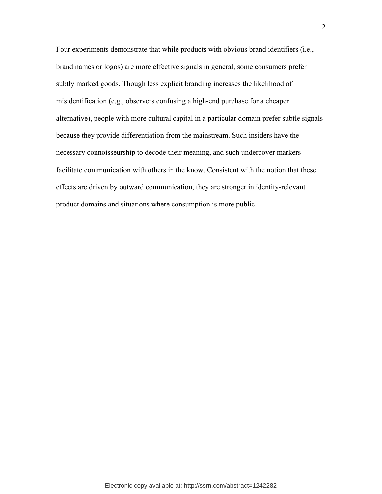Four experiments demonstrate that while products with obvious brand identifiers (i.e., brand names or logos) are more effective signals in general, some consumers prefer subtly marked goods. Though less explicit branding increases the likelihood of misidentification (e.g., observers confusing a high-end purchase for a cheaper alternative), people with more cultural capital in a particular domain prefer subtle signals because they provide differentiation from the mainstream. Such insiders have the necessary connoisseurship to decode their meaning, and such undercover markers facilitate communication with others in the know. Consistent with the notion that these effects are driven by outward communication, they are stronger in identity-relevant product domains and situations where consumption is more public.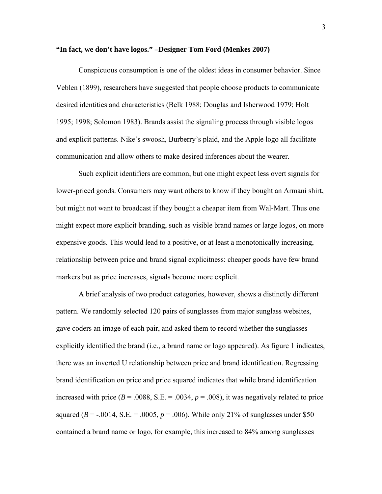#### **"In fact, we don't have logos." –Designer Tom Ford (Menkes 2007)**

Conspicuous consumption is one of the oldest ideas in consumer behavior. Since Veblen (1899), researchers have suggested that people choose products to communicate desired identities and characteristics (Belk 1988; Douglas and Isherwood 1979; Holt 1995; 1998; Solomon 1983). Brands assist the signaling process through visible logos and explicit patterns. Nike's swoosh, Burberry's plaid, and the Apple logo all facilitate communication and allow others to make desired inferences about the wearer.

Such explicit identifiers are common, but one might expect less overt signals for lower-priced goods. Consumers may want others to know if they bought an Armani shirt, but might not want to broadcast if they bought a cheaper item from Wal-Mart. Thus one might expect more explicit branding, such as visible brand names or large logos, on more expensive goods. This would lead to a positive, or at least a monotonically increasing, relationship between price and brand signal explicitness: cheaper goods have few brand markers but as price increases, signals become more explicit.

A brief analysis of two product categories, however, shows a distinctly different pattern. We randomly selected 120 pairs of sunglasses from major sunglass websites, gave coders an image of each pair, and asked them to record whether the sunglasses explicitly identified the brand (i.e., a brand name or logo appeared). As figure 1 indicates, there was an inverted U relationship between price and brand identification. Regressing brand identification on price and price squared indicates that while brand identification increased with price  $(B = .0088, S.E. = .0034, p = .008)$ , it was negatively related to price squared ( $B = -0.0014$ , S.E. = .0005,  $p = 0.006$ ). While only 21% of sunglasses under \$50 contained a brand name or logo, for example, this increased to 84% among sunglasses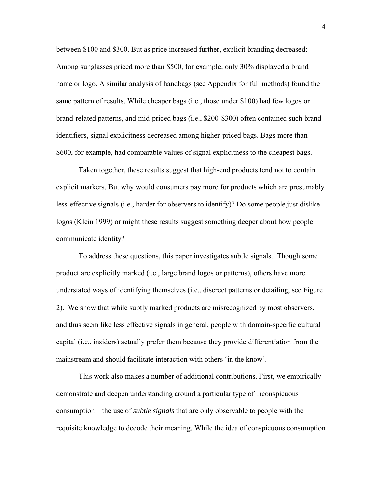between \$100 and \$300. But as price increased further, explicit branding decreased: Among sunglasses priced more than \$500, for example, only 30% displayed a brand name or logo. A similar analysis of handbags (see Appendix for full methods) found the same pattern of results. While cheaper bags (i.e., those under \$100) had few logos or brand-related patterns, and mid-priced bags (i.e., \$200-\$300) often contained such brand identifiers, signal explicitness decreased among higher-priced bags. Bags more than \$600, for example, had comparable values of signal explicitness to the cheapest bags.

Taken together, these results suggest that high-end products tend not to contain explicit markers. But why would consumers pay more for products which are presumably less-effective signals (i.e., harder for observers to identify)? Do some people just dislike logos (Klein 1999) or might these results suggest something deeper about how people communicate identity?

To address these questions, this paper investigates subtle signals. Though some product are explicitly marked (i.e., large brand logos or patterns), others have more understated ways of identifying themselves (i.e., discreet patterns or detailing, see Figure 2). We show that while subtly marked products are misrecognized by most observers, and thus seem like less effective signals in general, people with domain-specific cultural capital (i.e., insiders) actually prefer them because they provide differentiation from the mainstream and should facilitate interaction with others 'in the know'.

This work also makes a number of additional contributions. First, we empirically demonstrate and deepen understanding around a particular type of inconspicuous consumption—the use of *subtle signals* that are only observable to people with the requisite knowledge to decode their meaning. While the idea of conspicuous consumption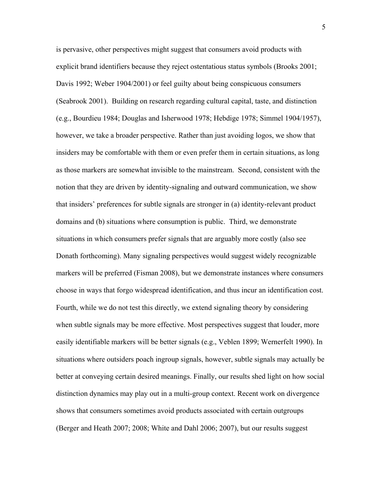is pervasive, other perspectives might suggest that consumers avoid products with explicit brand identifiers because they reject ostentatious status symbols (Brooks 2001; Davis 1992; Weber 1904/2001) or feel guilty about being conspicuous consumers (Seabrook 2001). Building on research regarding cultural capital, taste, and distinction (e.g., Bourdieu 1984; Douglas and Isherwood 1978; Hebdige 1978; Simmel 1904/1957), however, we take a broader perspective. Rather than just avoiding logos, we show that insiders may be comfortable with them or even prefer them in certain situations, as long as those markers are somewhat invisible to the mainstream. Second, consistent with the notion that they are driven by identity-signaling and outward communication, we show that insiders' preferences for subtle signals are stronger in (a) identity-relevant product domains and (b) situations where consumption is public. Third, we demonstrate situations in which consumers prefer signals that are arguably more costly (also see Donath forthcoming). Many signaling perspectives would suggest widely recognizable markers will be preferred (Fisman 2008), but we demonstrate instances where consumers choose in ways that forgo widespread identification, and thus incur an identification cost. Fourth, while we do not test this directly, we extend signaling theory by considering when subtle signals may be more effective. Most perspectives suggest that louder, more easily identifiable markers will be better signals (e.g., Veblen 1899; Wernerfelt 1990). In situations where outsiders poach ingroup signals, however, subtle signals may actually be better at conveying certain desired meanings. Finally, our results shed light on how social distinction dynamics may play out in a multi-group context. Recent work on divergence shows that consumers sometimes avoid products associated with certain outgroups (Berger and Heath 2007; 2008; White and Dahl 2006; 2007), but our results suggest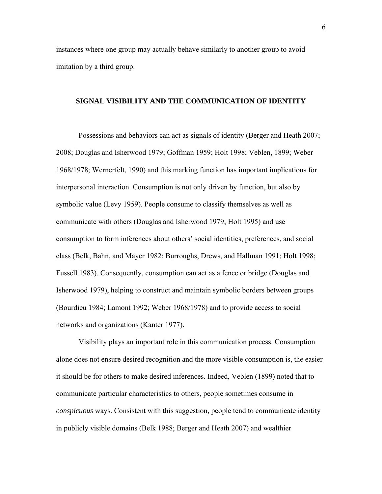instances where one group may actually behave similarly to another group to avoid imitation by a third group.

#### **SIGNAL VISIBILITY AND THE COMMUNICATION OF IDENTITY**

Possessions and behaviors can act as signals of identity (Berger and Heath 2007; 2008; Douglas and Isherwood 1979; Goffman 1959; Holt 1998; Veblen, 1899; Weber 1968/1978; Wernerfelt, 1990) and this marking function has important implications for interpersonal interaction. Consumption is not only driven by function, but also by symbolic value (Levy 1959). People consume to classify themselves as well as communicate with others (Douglas and Isherwood 1979; Holt 1995) and use consumption to form inferences about others' social identities, preferences, and social class (Belk, Bahn, and Mayer 1982; Burroughs, Drews, and Hallman 1991; Holt 1998; Fussell 1983). Consequently, consumption can act as a fence or bridge (Douglas and Isherwood 1979), helping to construct and maintain symbolic borders between groups (Bourdieu 1984; Lamont 1992; Weber 1968/1978) and to provide access to social networks and organizations (Kanter 1977).

Visibility plays an important role in this communication process. Consumption alone does not ensure desired recognition and the more visible consumption is, the easier it should be for others to make desired inferences. Indeed, Veblen (1899) noted that to communicate particular characteristics to others, people sometimes consume in *conspicuous* ways. Consistent with this suggestion, people tend to communicate identity in publicly visible domains (Belk 1988; Berger and Heath 2007) and wealthier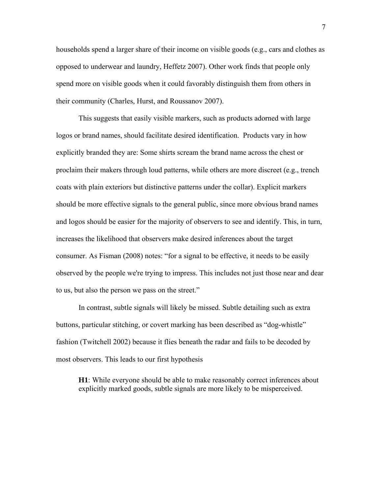households spend a larger share of their income on visible goods (e.g., cars and clothes as opposed to underwear and laundry, Heffetz 2007). Other work finds that people only spend more on visible goods when it could favorably distinguish them from others in their community (Charles, Hurst, and Roussanov 2007).

This suggests that easily visible markers, such as products adorned with large logos or brand names, should facilitate desired identification. Products vary in how explicitly branded they are: Some shirts scream the brand name across the chest or proclaim their makers through loud patterns, while others are more discreet (e.g., trench coats with plain exteriors but distinctive patterns under the collar). Explicit markers should be more effective signals to the general public, since more obvious brand names and logos should be easier for the majority of observers to see and identify. This, in turn, increases the likelihood that observers make desired inferences about the target consumer. As Fisman (2008) notes: "for a signal to be effective, it needs to be easily observed by the people we're trying to impress. This includes not just those near and dear to us, but also the person we pass on the street."

In contrast, subtle signals will likely be missed. Subtle detailing such as extra buttons, particular stitching, or covert marking has been described as "dog-whistle" fashion (Twitchell 2002) because it flies beneath the radar and fails to be decoded by most observers. This leads to our first hypothesis

**H1**: While everyone should be able to make reasonably correct inferences about explicitly marked goods, subtle signals are more likely to be misperceived.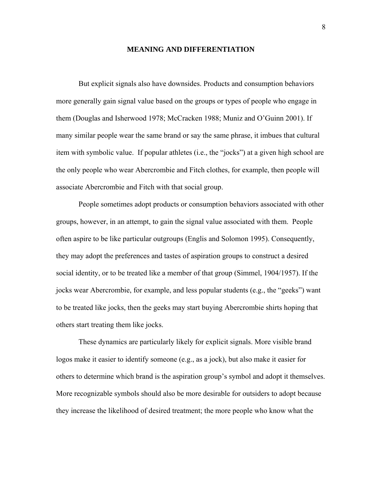#### **MEANING AND DIFFERENTIATION**

But explicit signals also have downsides. Products and consumption behaviors more generally gain signal value based on the groups or types of people who engage in them (Douglas and Isherwood 1978; McCracken 1988; Muniz and O'Guinn 2001). If many similar people wear the same brand or say the same phrase, it imbues that cultural item with symbolic value. If popular athletes (i.e., the "jocks") at a given high school are the only people who wear Abercrombie and Fitch clothes, for example, then people will associate Abercrombie and Fitch with that social group.

People sometimes adopt products or consumption behaviors associated with other groups, however, in an attempt, to gain the signal value associated with them. People often aspire to be like particular outgroups (Englis and Solomon 1995). Consequently, they may adopt the preferences and tastes of aspiration groups to construct a desired social identity, or to be treated like a member of that group (Simmel, 1904/1957). If the jocks wear Abercrombie, for example, and less popular students (e.g., the "geeks") want to be treated like jocks, then the geeks may start buying Abercrombie shirts hoping that others start treating them like jocks.

These dynamics are particularly likely for explicit signals. More visible brand logos make it easier to identify someone (e.g., as a jock), but also make it easier for others to determine which brand is the aspiration group's symbol and adopt it themselves. More recognizable symbols should also be more desirable for outsiders to adopt because they increase the likelihood of desired treatment; the more people who know what the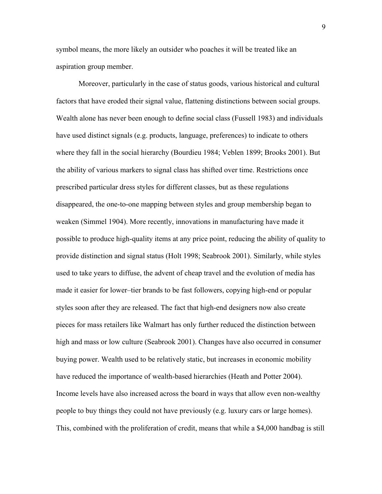symbol means, the more likely an outsider who poaches it will be treated like an aspiration group member.

Moreover, particularly in the case of status goods, various historical and cultural factors that have eroded their signal value, flattening distinctions between social groups. Wealth alone has never been enough to define social class (Fussell 1983) and individuals have used distinct signals (e.g. products, language, preferences) to indicate to others where they fall in the social hierarchy (Bourdieu 1984; Veblen 1899; Brooks 2001). But the ability of various markers to signal class has shifted over time. Restrictions once prescribed particular dress styles for different classes, but as these regulations disappeared, the one-to-one mapping between styles and group membership began to weaken (Simmel 1904). More recently, innovations in manufacturing have made it possible to produce high-quality items at any price point, reducing the ability of quality to provide distinction and signal status (Holt 1998; Seabrook 2001). Similarly, while styles used to take years to diffuse, the advent of cheap travel and the evolution of media has made it easier for lower–tier brands to be fast followers, copying high-end or popular styles soon after they are released. The fact that high-end designers now also create pieces for mass retailers like Walmart has only further reduced the distinction between high and mass or low culture (Seabrook 2001). Changes have also occurred in consumer buying power. Wealth used to be relatively static, but increases in economic mobility have reduced the importance of wealth-based hierarchies (Heath and Potter 2004). Income levels have also increased across the board in ways that allow even non-wealthy people to buy things they could not have previously (e.g. luxury cars or large homes). This, combined with the proliferation of credit, means that while a \$4,000 handbag is still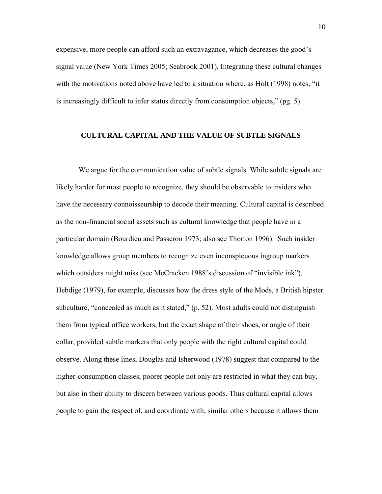expensive, more people can afford such an extravagance, which decreases the good's signal value (New York Times 2005; Seabrook 2001). Integrating these cultural changes with the motivations noted above have led to a situation where, as Holt (1998) notes, "it is increasingly difficult to infer status directly from consumption objects," (pg. 5).

#### **CULTURAL CAPITAL AND THE VALUE OF SUBTLE SIGNALS**

We argue for the communication value of subtle signals. While subtle signals are likely harder for most people to recognize, they should be observable to insiders who have the necessary connoisseurship to decode their meaning. Cultural capital is described as the non-financial social assets such as cultural knowledge that people have in a particular domain (Bourdieu and Passeron 1973; also see Thorton 1996). Such insider knowledge allows group members to recognize even inconspicuous ingroup markers which outsiders might miss (see McCracken 1988's discussion of "invisible ink"). Hebdige (1979), for example, discusses how the dress style of the Mods, a British hipster subculture, "concealed as much as it stated," (p. 52). Most adults could not distinguish them from typical office workers, but the exact shape of their shoes, or angle of their collar, provided subtle markers that only people with the right cultural capital could observe. Along these lines, Douglas and Isherwood (1978) suggest that compared to the higher-consumption classes, poorer people not only are restricted in what they can buy, but also in their ability to discern between various goods. Thus cultural capital allows people to gain the respect of, and coordinate with, similar others because it allows them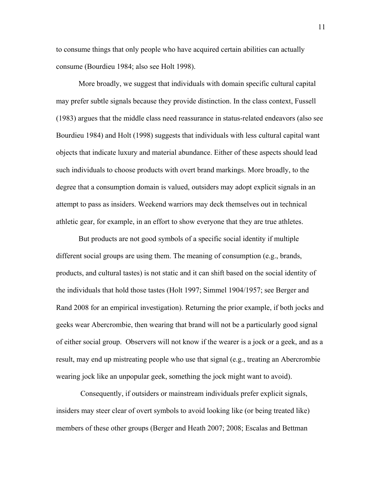to consume things that only people who have acquired certain abilities can actually consume (Bourdieu 1984; also see Holt 1998).

More broadly, we suggest that individuals with domain specific cultural capital may prefer subtle signals because they provide distinction. In the class context, Fussell (1983) argues that the middle class need reassurance in status-related endeavors (also see Bourdieu 1984) and Holt (1998) suggests that individuals with less cultural capital want objects that indicate luxury and material abundance. Either of these aspects should lead such individuals to choose products with overt brand markings. More broadly, to the degree that a consumption domain is valued, outsiders may adopt explicit signals in an attempt to pass as insiders. Weekend warriors may deck themselves out in technical athletic gear, for example, in an effort to show everyone that they are true athletes.

But products are not good symbols of a specific social identity if multiple different social groups are using them. The meaning of consumption (e.g., brands, products, and cultural tastes) is not static and it can shift based on the social identity of the individuals that hold those tastes (Holt 1997; Simmel 1904/1957; see Berger and Rand 2008 for an empirical investigation). Returning the prior example, if both jocks and geeks wear Abercrombie, then wearing that brand will not be a particularly good signal of either social group. Observers will not know if the wearer is a jock or a geek, and as a result, may end up mistreating people who use that signal (e.g., treating an Abercrombie wearing jock like an unpopular geek, something the jock might want to avoid).

 Consequently, if outsiders or mainstream individuals prefer explicit signals, insiders may steer clear of overt symbols to avoid looking like (or being treated like) members of these other groups (Berger and Heath 2007; 2008; Escalas and Bettman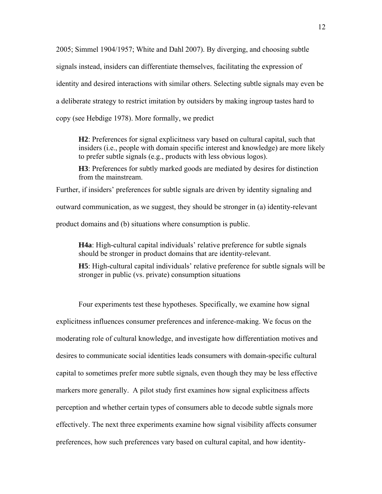2005; Simmel 1904/1957; White and Dahl 2007). By diverging, and choosing subtle signals instead, insiders can differentiate themselves, facilitating the expression of identity and desired interactions with similar others. Selecting subtle signals may even be a deliberate strategy to restrict imitation by outsiders by making ingroup tastes hard to copy (see Hebdige 1978). More formally, we predict

**H2**: Preferences for signal explicitness vary based on cultural capital, such that insiders (i.e., people with domain specific interest and knowledge) are more likely to prefer subtle signals (e.g., products with less obvious logos).

**H3**: Preferences for subtly marked goods are mediated by desires for distinction from the mainstream.

Further, if insiders' preferences for subtle signals are driven by identity signaling and outward communication, as we suggest, they should be stronger in (a) identity-relevant product domains and (b) situations where consumption is public.

**H4a**: High-cultural capital individuals' relative preference for subtle signals should be stronger in product domains that are identity-relevant.

**H5**: High-cultural capital individuals' relative preference for subtle signals will be stronger in public (vs. private) consumption situations

Four experiments test these hypotheses. Specifically, we examine how signal explicitness influences consumer preferences and inference-making. We focus on the moderating role of cultural knowledge, and investigate how differentiation motives and desires to communicate social identities leads consumers with domain-specific cultural capital to sometimes prefer more subtle signals, even though they may be less effective markers more generally. A pilot study first examines how signal explicitness affects perception and whether certain types of consumers able to decode subtle signals more effectively. The next three experiments examine how signal visibility affects consumer preferences, how such preferences vary based on cultural capital, and how identity-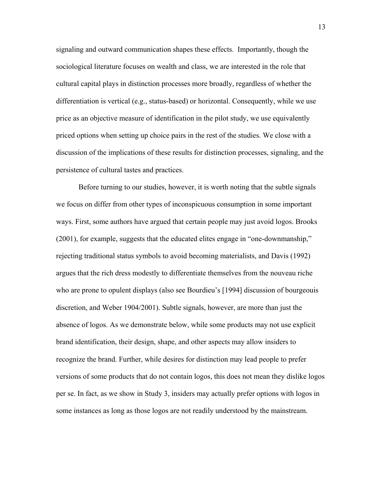signaling and outward communication shapes these effects. Importantly, though the sociological literature focuses on wealth and class, we are interested in the role that cultural capital plays in distinction processes more broadly, regardless of whether the differentiation is vertical (e.g., status-based) or horizontal. Consequently, while we use price as an objective measure of identification in the pilot study, we use equivalently priced options when setting up choice pairs in the rest of the studies. We close with a discussion of the implications of these results for distinction processes, signaling, and the persistence of cultural tastes and practices.

Before turning to our studies, however, it is worth noting that the subtle signals we focus on differ from other types of inconspicuous consumption in some important ways. First, some authors have argued that certain people may just avoid logos. Brooks (2001), for example, suggests that the educated elites engage in "one-downmanship," rejecting traditional status symbols to avoid becoming materialists, and Davis (1992) argues that the rich dress modestly to differentiate themselves from the nouveau riche who are prone to opulent displays (also see Bourdieu's [1994] discussion of bourgeouis discretion, and Weber 1904/2001). Subtle signals, however, are more than just the absence of logos. As we demonstrate below, while some products may not use explicit brand identification, their design, shape, and other aspects may allow insiders to recognize the brand. Further, while desires for distinction may lead people to prefer versions of some products that do not contain logos, this does not mean they dislike logos per se. In fact, as we show in Study 3, insiders may actually prefer options with logos in some instances as long as those logos are not readily understood by the mainstream.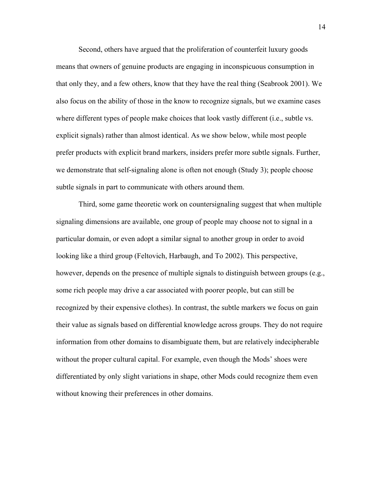Second, others have argued that the proliferation of counterfeit luxury goods means that owners of genuine products are engaging in inconspicuous consumption in that only they, and a few others, know that they have the real thing (Seabrook 2001). We also focus on the ability of those in the know to recognize signals, but we examine cases where different types of people make choices that look vastly different (i.e., subtle vs. explicit signals) rather than almost identical. As we show below, while most people prefer products with explicit brand markers, insiders prefer more subtle signals. Further, we demonstrate that self-signaling alone is often not enough (Study 3); people choose subtle signals in part to communicate with others around them.

Third, some game theoretic work on countersignaling suggest that when multiple signaling dimensions are available, one group of people may choose not to signal in a particular domain, or even adopt a similar signal to another group in order to avoid looking like a third group (Feltovich, Harbaugh, and To 2002). This perspective, however, depends on the presence of multiple signals to distinguish between groups (e.g., some rich people may drive a car associated with poorer people, but can still be recognized by their expensive clothes). In contrast, the subtle markers we focus on gain their value as signals based on differential knowledge across groups. They do not require information from other domains to disambiguate them, but are relatively indecipherable without the proper cultural capital. For example, even though the Mods' shoes were differentiated by only slight variations in shape, other Mods could recognize them even without knowing their preferences in other domains.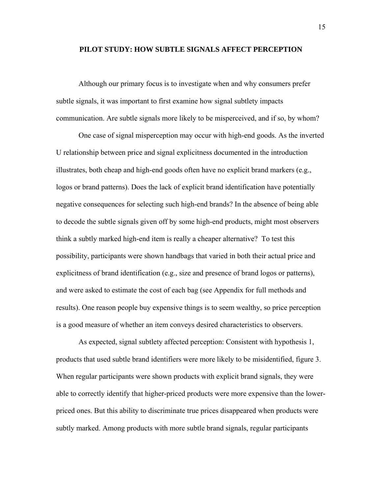#### **PILOT STUDY: HOW SUBTLE SIGNALS AFFECT PERCEPTION**

Although our primary focus is to investigate when and why consumers prefer subtle signals, it was important to first examine how signal subtlety impacts communication. Are subtle signals more likely to be misperceived, and if so, by whom?

One case of signal misperception may occur with high-end goods. As the inverted U relationship between price and signal explicitness documented in the introduction illustrates, both cheap and high-end goods often have no explicit brand markers (e.g., logos or brand patterns). Does the lack of explicit brand identification have potentially negative consequences for selecting such high-end brands? In the absence of being able to decode the subtle signals given off by some high-end products, might most observers think a subtly marked high-end item is really a cheaper alternative? To test this possibility, participants were shown handbags that varied in both their actual price and explicitness of brand identification (e.g., size and presence of brand logos or patterns), and were asked to estimate the cost of each bag (see Appendix for full methods and results). One reason people buy expensive things is to seem wealthy, so price perception is a good measure of whether an item conveys desired characteristics to observers.

As expected, signal subtlety affected perception: Consistent with hypothesis 1, products that used subtle brand identifiers were more likely to be misidentified, figure 3. When regular participants were shown products with explicit brand signals, they were able to correctly identify that higher-priced products were more expensive than the lowerpriced ones. But this ability to discriminate true prices disappeared when products were subtly marked. Among products with more subtle brand signals, regular participants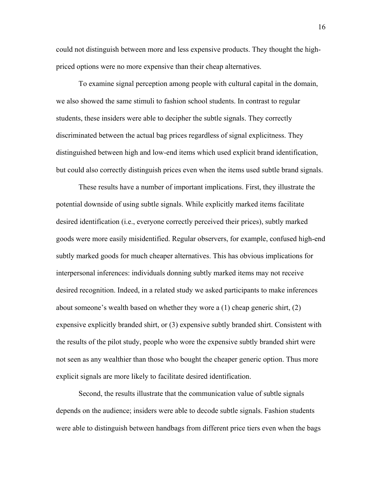could not distinguish between more and less expensive products. They thought the highpriced options were no more expensive than their cheap alternatives.

To examine signal perception among people with cultural capital in the domain, we also showed the same stimuli to fashion school students. In contrast to regular students, these insiders were able to decipher the subtle signals. They correctly discriminated between the actual bag prices regardless of signal explicitness. They distinguished between high and low-end items which used explicit brand identification, but could also correctly distinguish prices even when the items used subtle brand signals.

These results have a number of important implications. First, they illustrate the potential downside of using subtle signals. While explicitly marked items facilitate desired identification (i.e., everyone correctly perceived their prices), subtly marked goods were more easily misidentified. Regular observers, for example, confused high-end subtly marked goods for much cheaper alternatives. This has obvious implications for interpersonal inferences: individuals donning subtly marked items may not receive desired recognition. Indeed, in a related study we asked participants to make inferences about someone's wealth based on whether they wore a (1) cheap generic shirt, (2) expensive explicitly branded shirt, or (3) expensive subtly branded shirt. Consistent with the results of the pilot study, people who wore the expensive subtly branded shirt were not seen as any wealthier than those who bought the cheaper generic option. Thus more explicit signals are more likely to facilitate desired identification.

Second, the results illustrate that the communication value of subtle signals depends on the audience; insiders were able to decode subtle signals. Fashion students were able to distinguish between handbags from different price tiers even when the bags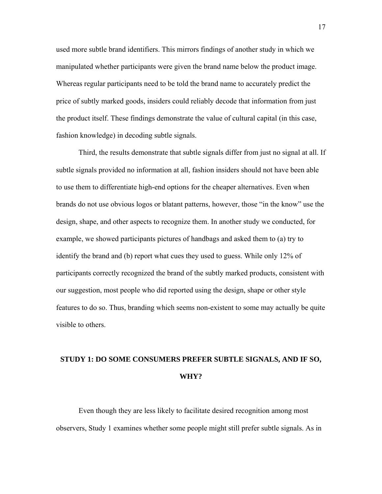used more subtle brand identifiers. This mirrors findings of another study in which we manipulated whether participants were given the brand name below the product image. Whereas regular participants need to be told the brand name to accurately predict the price of subtly marked goods, insiders could reliably decode that information from just the product itself. These findings demonstrate the value of cultural capital (in this case, fashion knowledge) in decoding subtle signals.

Third, the results demonstrate that subtle signals differ from just no signal at all. If subtle signals provided no information at all, fashion insiders should not have been able to use them to differentiate high-end options for the cheaper alternatives. Even when brands do not use obvious logos or blatant patterns, however, those "in the know" use the design, shape, and other aspects to recognize them. In another study we conducted, for example, we showed participants pictures of handbags and asked them to (a) try to identify the brand and (b) report what cues they used to guess. While only 12% of participants correctly recognized the brand of the subtly marked products, consistent with our suggestion, most people who did reported using the design, shape or other style features to do so. Thus, branding which seems non-existent to some may actually be quite visible to others.

# **STUDY 1: DO SOME CONSUMERS PREFER SUBTLE SIGNALS, AND IF SO, WHY?**

Even though they are less likely to facilitate desired recognition among most observers, Study 1 examines whether some people might still prefer subtle signals. As in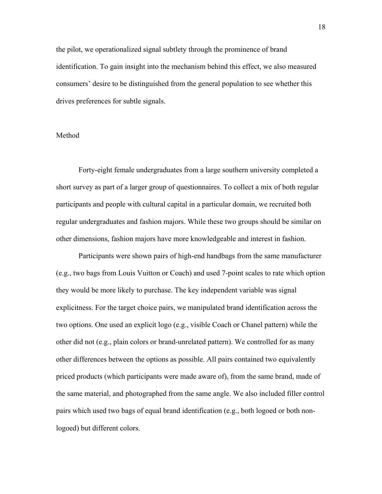the pilot, we operationalized signal subtlety through the prominence of brand identification. To gain insight into the mechanism behind this effect, we also measured consumers' desire to be distinguished from the general population to see whether this drives preferences for subtle signals.

#### Method

 Forty-eight female undergraduates from a large southern university completed a short survey as part of a larger group of questionnaires. To collect a mix of both regular participants and people with cultural capital in a particular domain, we recruited both regular undergraduates and fashion majors. While these two groups should be similar on other dimensions, fashion majors have more knowledgeable and interest in fashion.

Participants were shown pairs of high-end handbags from the same manufacturer (e.g., two bags from Louis Vuitton or Coach) and used 7-point scales to rate which option they would be more likely to purchase. The key independent variable was signal explicitness. For the target choice pairs, we manipulated brand identification across the two options. One used an explicit logo (e.g., visible Coach or Chanel pattern) while the other did not (e.g., plain colors or brand-unrelated pattern). We controlled for as many other differences between the options as possible. All pairs contained two equivalently priced products (which participants were made aware of), from the same brand, made of the same material, and photographed from the same angle. We also included filler control pairs which used two bags of equal brand identification (e.g., both logoed or both nonlogoed) but different colors.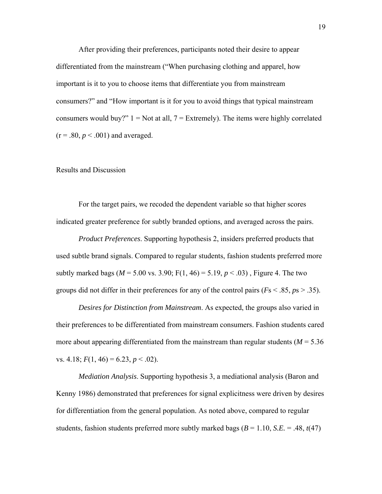After providing their preferences, participants noted their desire to appear differentiated from the mainstream ("When purchasing clothing and apparel, how important is it to you to choose items that differentiate you from mainstream consumers?" and "How important is it for you to avoid things that typical mainstream consumers would buy?"  $1 = Not$  at all,  $7 = Extremely$ ). The items were highly correlated  $(r = .80, p < .001)$  and averaged.

#### Results and Discussion

For the target pairs, we recoded the dependent variable so that higher scores indicated greater preference for subtly branded options, and averaged across the pairs.

*Product Preferences*. Supporting hypothesis 2, insiders preferred products that used subtle brand signals. Compared to regular students, fashion students preferred more subtly marked bags (*M* = 5.00 vs. 3.90; F(1, 46) = 5.19, *p* < .03) , Figure 4. The two groups did not differ in their preferences for any of the control pairs (*F*s < .85, *p*s > .35).

*Desires for Distinction from Mainstream*. As expected, the groups also varied in their preferences to be differentiated from mainstream consumers. Fashion students cared more about appearing differentiated from the mainstream than regular students ( $M = 5.36$ ) vs. 4.18;  $F(1, 46) = 6.23, p < .02$ ).

*Mediation Analysis*. Supporting hypothesis 3, a mediational analysis (Baron and Kenny 1986) demonstrated that preferences for signal explicitness were driven by desires for differentiation from the general population. As noted above, compared to regular students, fashion students preferred more subtly marked bags ( $B = 1.10$ ,  $S.E. = .48$ ,  $t(47)$ )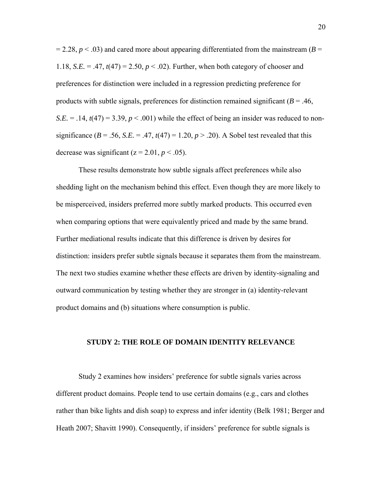$= 2.28, p < .03$ ) and cared more about appearing differentiated from the mainstream ( $B =$ 1.18, *S.E.* = .47,  $t(47) = 2.50, p < .02$ ). Further, when both category of chooser and preferences for distinction were included in a regression predicting preference for products with subtle signals, preferences for distinction remained significant ( $B = .46$ , *S.E.* = .14,  $t(47)$  = 3.39,  $p < .001$ ) while the effect of being an insider was reduced to nonsignificance  $(B = .56, S.E. = .47, t(47) = 1.20, p > .20)$ . A Sobel test revealed that this decrease was significant  $(z = 2.01, p < .05)$ .

These results demonstrate how subtle signals affect preferences while also shedding light on the mechanism behind this effect. Even though they are more likely to be misperceived, insiders preferred more subtly marked products. This occurred even when comparing options that were equivalently priced and made by the same brand. Further mediational results indicate that this difference is driven by desires for distinction: insiders prefer subtle signals because it separates them from the mainstream. The next two studies examine whether these effects are driven by identity-signaling and outward communication by testing whether they are stronger in (a) identity-relevant product domains and (b) situations where consumption is public.

#### **STUDY 2: THE ROLE OF DOMAIN IDENTITY RELEVANCE**

Study 2 examines how insiders' preference for subtle signals varies across different product domains. People tend to use certain domains (e.g., cars and clothes rather than bike lights and dish soap) to express and infer identity (Belk 1981; Berger and Heath 2007; Shavitt 1990). Consequently, if insiders' preference for subtle signals is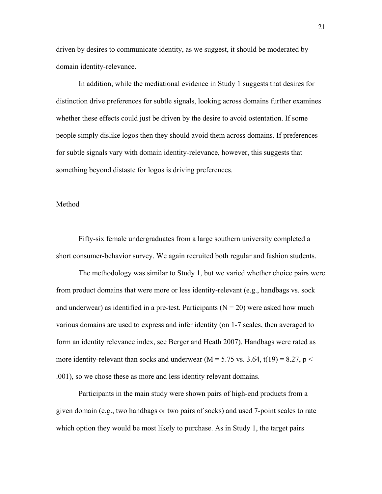driven by desires to communicate identity, as we suggest, it should be moderated by domain identity-relevance.

In addition, while the mediational evidence in Study 1 suggests that desires for distinction drive preferences for subtle signals, looking across domains further examines whether these effects could just be driven by the desire to avoid ostentation. If some people simply dislike logos then they should avoid them across domains. If preferences for subtle signals vary with domain identity-relevance, however, this suggests that something beyond distaste for logos is driving preferences.

#### Method

 Fifty-six female undergraduates from a large southern university completed a short consumer-behavior survey. We again recruited both regular and fashion students.

The methodology was similar to Study 1, but we varied whether choice pairs were from product domains that were more or less identity-relevant (e.g., handbags vs. sock and underwear) as identified in a pre-test. Participants ( $N = 20$ ) were asked how much various domains are used to express and infer identity (on 1-7 scales, then averaged to form an identity relevance index, see Berger and Heath 2007). Handbags were rated as more identity-relevant than socks and underwear ( $M = 5.75$  vs. 3.64, t(19) = 8.27, p < .001), so we chose these as more and less identity relevant domains.

Participants in the main study were shown pairs of high-end products from a given domain (e.g., two handbags or two pairs of socks) and used 7-point scales to rate which option they would be most likely to purchase. As in Study 1, the target pairs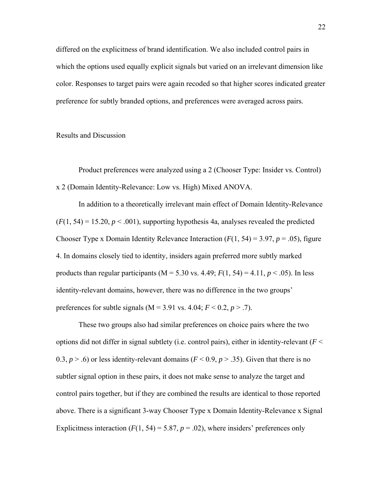differed on the explicitness of brand identification. We also included control pairs in which the options used equally explicit signals but varied on an irrelevant dimension like color. Responses to target pairs were again recoded so that higher scores indicated greater preference for subtly branded options, and preferences were averaged across pairs.

Results and Discussion

Product preferences were analyzed using a 2 (Chooser Type: Insider vs. Control) x 2 (Domain Identity-Relevance: Low vs. High) Mixed ANOVA.

In addition to a theoretically irrelevant main effect of Domain Identity-Relevance  $(F(1, 54) = 15.20, p < .001)$ , supporting hypothesis 4a, analyses revealed the predicted Chooser Type x Domain Identity Relevance Interaction  $(F(1, 54) = 3.97, p = .05)$ , figure 4. In domains closely tied to identity, insiders again preferred more subtly marked products than regular participants ( $M = 5.30$  vs. 4.49;  $F(1, 54) = 4.11$ ,  $p < .05$ ). In less identity-relevant domains, however, there was no difference in the two groups' preferences for subtle signals ( $M = 3.91$  vs. 4.04;  $F < 0.2$ ,  $p > .7$ ).

These two groups also had similar preferences on choice pairs where the two options did not differ in signal subtlety (i.e. control pairs), either in identity-relevant (*F* < 0.3,  $p > 0.6$  or less identity-relevant domains ( $F < 0.9$ ,  $p > 0.35$ ). Given that there is no subtler signal option in these pairs, it does not make sense to analyze the target and control pairs together, but if they are combined the results are identical to those reported above. There is a significant 3-way Chooser Type x Domain Identity-Relevance x Signal Explicitness interaction  $(F(1, 54) = 5.87, p = .02)$ , where insiders' preferences only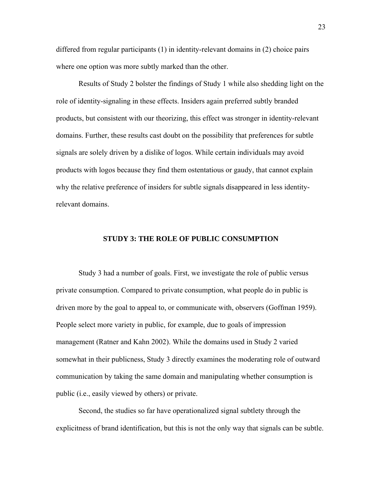differed from regular participants (1) in identity-relevant domains in (2) choice pairs where one option was more subtly marked than the other.

Results of Study 2 bolster the findings of Study 1 while also shedding light on the role of identity-signaling in these effects. Insiders again preferred subtly branded products, but consistent with our theorizing, this effect was stronger in identity-relevant domains. Further, these results cast doubt on the possibility that preferences for subtle signals are solely driven by a dislike of logos. While certain individuals may avoid products with logos because they find them ostentatious or gaudy, that cannot explain why the relative preference of insiders for subtle signals disappeared in less identityrelevant domains.

#### **STUDY 3: THE ROLE OF PUBLIC CONSUMPTION**

Study 3 had a number of goals. First, we investigate the role of public versus private consumption. Compared to private consumption, what people do in public is driven more by the goal to appeal to, or communicate with, observers (Goffman 1959). People select more variety in public, for example, due to goals of impression management (Ratner and Kahn 2002). While the domains used in Study 2 varied somewhat in their publicness, Study 3 directly examines the moderating role of outward communication by taking the same domain and manipulating whether consumption is public (i.e., easily viewed by others) or private.

Second, the studies so far have operationalized signal subtlety through the explicitness of brand identification, but this is not the only way that signals can be subtle.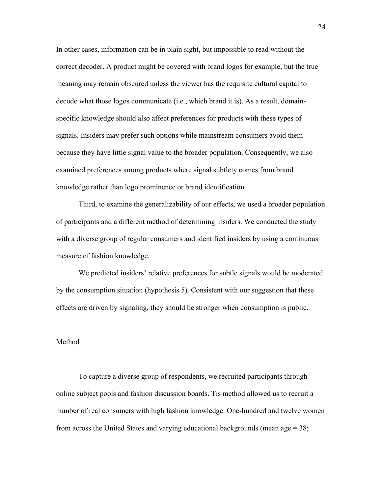In other cases, information can be in plain sight, but impossible to read without the correct decoder. A product might be covered with brand logos for example, but the true meaning may remain obscured unless the viewer has the requisite cultural capital to decode what those logos communicate (i.e., which brand it is). As a result, domainspecific knowledge should also affect preferences for products with these types of signals. Insiders may prefer such options while mainstream consumers avoid them because they have little signal value to the broader population. Consequently, we also examined preferences among products where signal subtlety comes from brand knowledge rather than logo prominence or brand identification.

Third, to examine the generalizability of our effects, we used a broader population of participants and a different method of determining insiders. We conducted the study with a diverse group of regular consumers and identified insiders by using a continuous measure of fashion knowledge.

We predicted insiders' relative preferences for subtle signals would be moderated by the consumption situation (hypothesis 5). Consistent with our suggestion that these effects are driven by signaling, they should be stronger when consumption is public.

#### Method

 To capture a diverse group of respondents, we recruited participants through online subject pools and fashion discussion boards. Tis method allowed us to recruit a number of real consumers with high fashion knowledge. One-hundred and twelve women from across the United States and varying educational backgrounds (mean age = 38;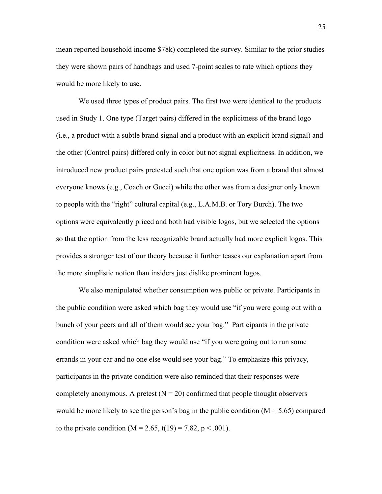mean reported household income \$78k) completed the survey. Similar to the prior studies they were shown pairs of handbags and used 7-point scales to rate which options they would be more likely to use.

We used three types of product pairs. The first two were identical to the products used in Study 1. One type (Target pairs) differed in the explicitness of the brand logo (i.e., a product with a subtle brand signal and a product with an explicit brand signal) and the other (Control pairs) differed only in color but not signal explicitness. In addition, we introduced new product pairs pretested such that one option was from a brand that almost everyone knows (e.g., Coach or Gucci) while the other was from a designer only known to people with the "right" cultural capital (e.g., L.A.M.B. or Tory Burch). The two options were equivalently priced and both had visible logos, but we selected the options so that the option from the less recognizable brand actually had more explicit logos. This provides a stronger test of our theory because it further teases our explanation apart from the more simplistic notion than insiders just dislike prominent logos.

 We also manipulated whether consumption was public or private. Participants in the public condition were asked which bag they would use "if you were going out with a bunch of your peers and all of them would see your bag." Participants in the private condition were asked which bag they would use "if you were going out to run some errands in your car and no one else would see your bag." To emphasize this privacy, participants in the private condition were also reminded that their responses were completely anonymous. A pretest  $(N = 20)$  confirmed that people thought observers would be more likely to see the person's bag in the public condition  $(M = 5.65)$  compared to the private condition (M = 2.65, t(19) = 7.82, p < .001).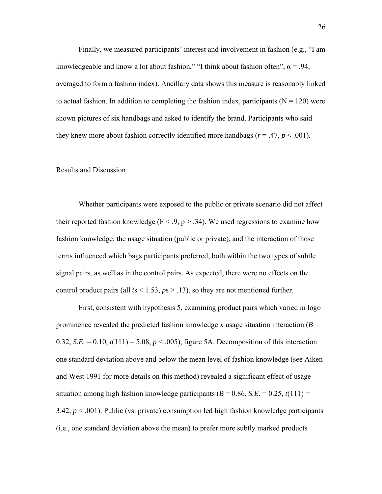Finally, we measured participants' interest and involvement in fashion (e.g., "I am knowledgeable and know a lot about fashion," "I think about fashion often",  $\alpha$  = .94, averaged to form a fashion index). Ancillary data shows this measure is reasonably linked to actual fashion. In addition to completing the fashion index, participants ( $N = 120$ ) were shown pictures of six handbags and asked to identify the brand. Participants who said they knew more about fashion correctly identified more handbags ( $r = .47$ ,  $p < .001$ ).

#### Results and Discussion

 Whether participants were exposed to the public or private scenario did not affect their reported fashion knowledge ( $F < .9$ ,  $p > .34$ ). We used regressions to examine how fashion knowledge, the usage situation (public or private), and the interaction of those terms influenced which bags participants preferred, both within the two types of subtle signal pairs, as well as in the control pairs. As expected, there were no effects on the control product pairs (all  $ts < 1.53$ ,  $ps > .13$ ), so they are not mentioned further.

 First, consistent with hypothesis 5, examining product pairs which varied in logo prominence revealed the predicted fashion knowledge x usage situation interaction  $(B =$ 0.32, *S.E.* = 0.10,  $t(111)$  = 5.08,  $p < .005$ ), figure 5A. Decomposition of this interaction one standard deviation above and below the mean level of fashion knowledge (see Aiken and West 1991 for more details on this method) revealed a significant effect of usage situation among high fashion knowledge participants  $(B = 0.86, S.E. = 0.25, t(111) =$ 3.42,  $p < .001$ ). Public (vs. private) consumption led high fashion knowledge participants (i.e., one standard deviation above the mean) to prefer more subtly marked products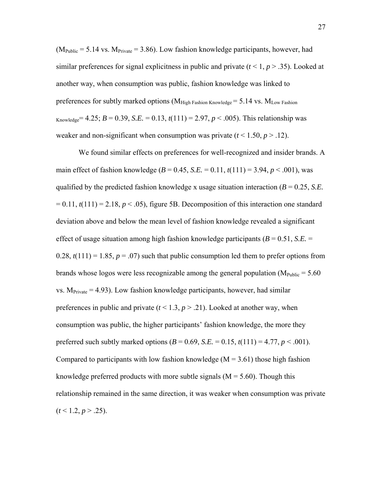$(M_{Public} = 5.14 \text{ vs. } M_{Private} = 3.86)$ . Low fashion knowledge participants, however, had similar preferences for signal explicitness in public and private  $(t < 1, p > .35)$ . Looked at another way, when consumption was public, fashion knowledge was linked to preferences for subtly marked options ( $M_{High\,Fashion\,Knowledge} = 5.14$  vs.  $M_{Low\,Fashion}$ Knowledge<sup>=</sup> 4.25; *B* = 0.39, *S.E.* = 0.13, *t*(111) = 2.97, *p* < .005). This relationship was weaker and non-significant when consumption was private  $(t < 1.50, p > .12)$ .

We found similar effects on preferences for well-recognized and insider brands. A main effect of fashion knowledge ( $B = 0.45$ ,  $S.E. = 0.11$ ,  $t(111) = 3.94$ ,  $p < .001$ ), was qualified by the predicted fashion knowledge x usage situation interaction (*B* = 0.25, *S.E.*  $= 0.11$ ,  $t(111) = 2.18$ ,  $p < .05$ ), figure 5B. Decomposition of this interaction one standard deviation above and below the mean level of fashion knowledge revealed a significant effect of usage situation among high fashion knowledge participants ( $B = 0.51$ , *S.E.* = 0.28,  $t(111) = 1.85$ ,  $p = .07$ ) such that public consumption led them to prefer options from brands whose logos were less recognizable among the general population ( $M_{Public} = 5.60$ ) vs.  $M_{\text{Private}} = 4.93$ ). Low fashion knowledge participants, however, had similar preferences in public and private  $(t < 1.3, p > 0.21)$ . Looked at another way, when consumption was public, the higher participants' fashion knowledge, the more they preferred such subtly marked options  $(B = 0.69, S.E. = 0.15, t(111) = 4.77, p < .001)$ . Compared to participants with low fashion knowledge  $(M = 3.61)$  those high fashion knowledge preferred products with more subtle signals  $(M = 5.60)$ . Though this relationship remained in the same direction, it was weaker when consumption was private  $(t < 1.2, p > .25)$ .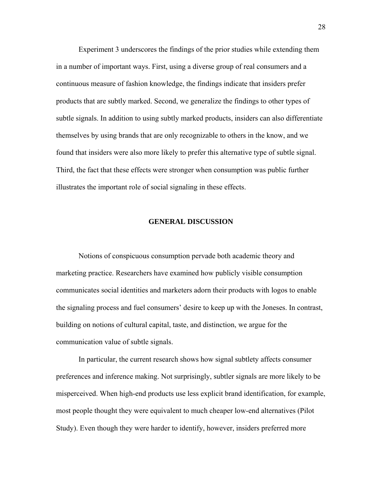Experiment 3 underscores the findings of the prior studies while extending them in a number of important ways. First, using a diverse group of real consumers and a continuous measure of fashion knowledge, the findings indicate that insiders prefer products that are subtly marked. Second, we generalize the findings to other types of subtle signals. In addition to using subtly marked products, insiders can also differentiate themselves by using brands that are only recognizable to others in the know, and we found that insiders were also more likely to prefer this alternative type of subtle signal. Third, the fact that these effects were stronger when consumption was public further illustrates the important role of social signaling in these effects.

#### **GENERAL DISCUSSION**

Notions of conspicuous consumption pervade both academic theory and marketing practice. Researchers have examined how publicly visible consumption communicates social identities and marketers adorn their products with logos to enable the signaling process and fuel consumers' desire to keep up with the Joneses. In contrast, building on notions of cultural capital, taste, and distinction, we argue for the communication value of subtle signals.

In particular, the current research shows how signal subtlety affects consumer preferences and inference making. Not surprisingly, subtler signals are more likely to be misperceived. When high-end products use less explicit brand identification, for example, most people thought they were equivalent to much cheaper low-end alternatives (Pilot Study). Even though they were harder to identify, however, insiders preferred more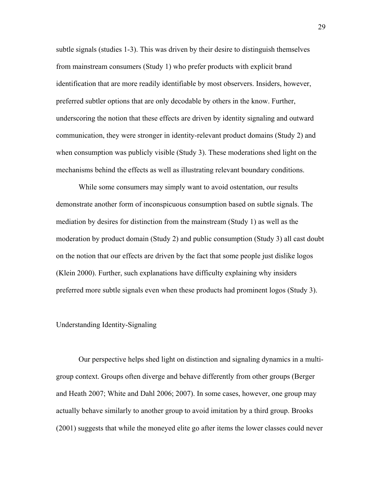subtle signals (studies 1-3). This was driven by their desire to distinguish themselves from mainstream consumers (Study 1) who prefer products with explicit brand identification that are more readily identifiable by most observers. Insiders, however, preferred subtler options that are only decodable by others in the know. Further, underscoring the notion that these effects are driven by identity signaling and outward communication, they were stronger in identity-relevant product domains (Study 2) and when consumption was publicly visible (Study 3). These moderations shed light on the mechanisms behind the effects as well as illustrating relevant boundary conditions.

While some consumers may simply want to avoid ostentation, our results demonstrate another form of inconspicuous consumption based on subtle signals. The mediation by desires for distinction from the mainstream (Study 1) as well as the moderation by product domain (Study 2) and public consumption (Study 3) all cast doubt on the notion that our effects are driven by the fact that some people just dislike logos (Klein 2000). Further, such explanations have difficulty explaining why insiders preferred more subtle signals even when these products had prominent logos (Study 3).

#### Understanding Identity-Signaling

Our perspective helps shed light on distinction and signaling dynamics in a multigroup context. Groups often diverge and behave differently from other groups (Berger and Heath 2007; White and Dahl 2006; 2007). In some cases, however, one group may actually behave similarly to another group to avoid imitation by a third group. Brooks (2001) suggests that while the moneyed elite go after items the lower classes could never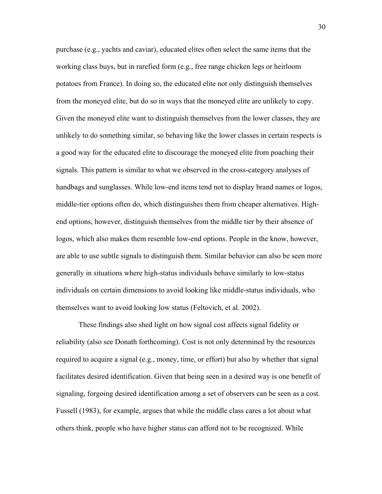purchase (e.g., yachts and caviar), educated elites often select the same items that the working class buys, but in rarefied form (e.g., free range chicken legs or heirloom potatoes from France). In doing so, the educated elite not only distinguish themselves from the moneyed elite, but do so in ways that the moneyed elite are unlikely to copy. Given the moneyed elite want to distinguish themselves from the lower classes, they are unlikely to do something similar, so behaving like the lower classes in certain respects is a good way for the educated elite to discourage the moneyed elite from poaching their signals. This pattern is similar to what we observed in the cross-category analyses of handbags and sunglasses. While low-end items tend not to display brand names or logos, middle-tier options often do, which distinguishes them from cheaper alternatives. Highend options, however, distinguish themselves from the middle tier by their absence of logos, which also makes them resemble low-end options. People in the know, however, are able to use subtle signals to distinguish them. Similar behavior can also be seen more generally in situations where high-status individuals behave similarly to low-status individuals on certain dimensions to avoid looking like middle-status individuals, who themselves want to avoid looking low status (Feltovich, et al. 2002).

These findings also shed light on how signal cost affects signal fidelity or reliability (also see Donath forthcoming). Cost is not only determined by the resources required to acquire a signal (e.g., money, time, or effort) but also by whether that signal facilitates desired identification. Given that being seen in a desired way is one benefit of signaling, forgoing desired identification among a set of observers can be seen as a cost. Fussell (1983), for example, argues that while the middle class cares a lot about what others think, people who have higher status can afford not to be recognized. While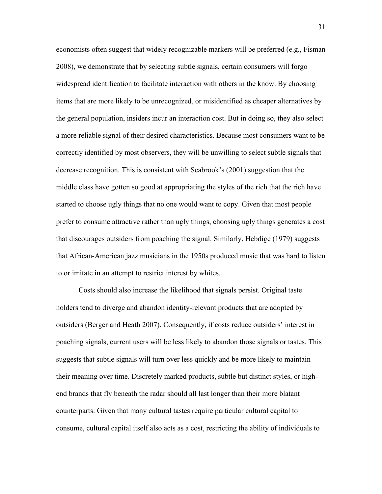economists often suggest that widely recognizable markers will be preferred (e.g., Fisman 2008), we demonstrate that by selecting subtle signals, certain consumers will forgo widespread identification to facilitate interaction with others in the know. By choosing items that are more likely to be unrecognized, or misidentified as cheaper alternatives by the general population, insiders incur an interaction cost. But in doing so, they also select a more reliable signal of their desired characteristics. Because most consumers want to be correctly identified by most observers, they will be unwilling to select subtle signals that decrease recognition. This is consistent with Seabrook's (2001) suggestion that the middle class have gotten so good at appropriating the styles of the rich that the rich have started to choose ugly things that no one would want to copy. Given that most people prefer to consume attractive rather than ugly things, choosing ugly things generates a cost that discourages outsiders from poaching the signal. Similarly, Hebdige (1979) suggests that African-American jazz musicians in the 1950s produced music that was hard to listen to or imitate in an attempt to restrict interest by whites.

Costs should also increase the likelihood that signals persist. Original taste holders tend to diverge and abandon identity-relevant products that are adopted by outsiders (Berger and Heath 2007). Consequently, if costs reduce outsiders' interest in poaching signals, current users will be less likely to abandon those signals or tastes. This suggests that subtle signals will turn over less quickly and be more likely to maintain their meaning over time. Discretely marked products, subtle but distinct styles, or highend brands that fly beneath the radar should all last longer than their more blatant counterparts. Given that many cultural tastes require particular cultural capital to consume, cultural capital itself also acts as a cost, restricting the ability of individuals to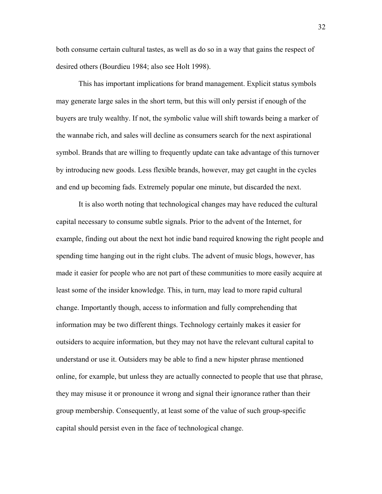both consume certain cultural tastes, as well as do so in a way that gains the respect of desired others (Bourdieu 1984; also see Holt 1998).

This has important implications for brand management. Explicit status symbols may generate large sales in the short term, but this will only persist if enough of the buyers are truly wealthy. If not, the symbolic value will shift towards being a marker of the wannabe rich, and sales will decline as consumers search for the next aspirational symbol. Brands that are willing to frequently update can take advantage of this turnover by introducing new goods. Less flexible brands, however, may get caught in the cycles and end up becoming fads. Extremely popular one minute, but discarded the next.

It is also worth noting that technological changes may have reduced the cultural capital necessary to consume subtle signals. Prior to the advent of the Internet, for example, finding out about the next hot indie band required knowing the right people and spending time hanging out in the right clubs. The advent of music blogs, however, has made it easier for people who are not part of these communities to more easily acquire at least some of the insider knowledge. This, in turn, may lead to more rapid cultural change. Importantly though, access to information and fully comprehending that information may be two different things. Technology certainly makes it easier for outsiders to acquire information, but they may not have the relevant cultural capital to understand or use it. Outsiders may be able to find a new hipster phrase mentioned online, for example, but unless they are actually connected to people that use that phrase, they may misuse it or pronounce it wrong and signal their ignorance rather than their group membership. Consequently, at least some of the value of such group-specific capital should persist even in the face of technological change.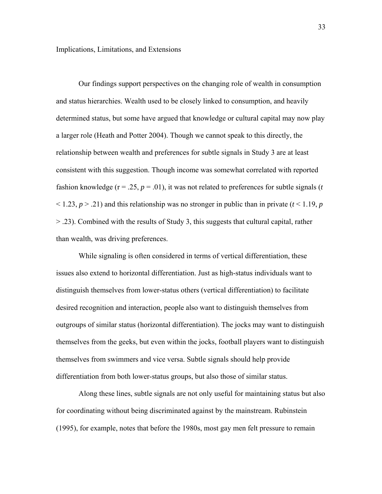Our findings support perspectives on the changing role of wealth in consumption and status hierarchies. Wealth used to be closely linked to consumption, and heavily determined status, but some have argued that knowledge or cultural capital may now play a larger role (Heath and Potter 2004). Though we cannot speak to this directly, the relationship between wealth and preferences for subtle signals in Study 3 are at least consistent with this suggestion. Though income was somewhat correlated with reported fashion knowledge ( $r = 0.25$ ,  $p = 0.01$ ), it was not related to preferences for subtle signals (*t*)  $(1.23, p > .21)$  and this relationship was no stronger in public than in private ( $t < 1.19, p$ > .23). Combined with the results of Study 3, this suggests that cultural capital, rather than wealth, was driving preferences.

While signaling is often considered in terms of vertical differentiation, these issues also extend to horizontal differentiation. Just as high-status individuals want to distinguish themselves from lower-status others (vertical differentiation) to facilitate desired recognition and interaction, people also want to distinguish themselves from outgroups of similar status (horizontal differentiation). The jocks may want to distinguish themselves from the geeks, but even within the jocks, football players want to distinguish themselves from swimmers and vice versa. Subtle signals should help provide differentiation from both lower-status groups, but also those of similar status.

Along these lines, subtle signals are not only useful for maintaining status but also for coordinating without being discriminated against by the mainstream. Rubinstein (1995), for example, notes that before the 1980s, most gay men felt pressure to remain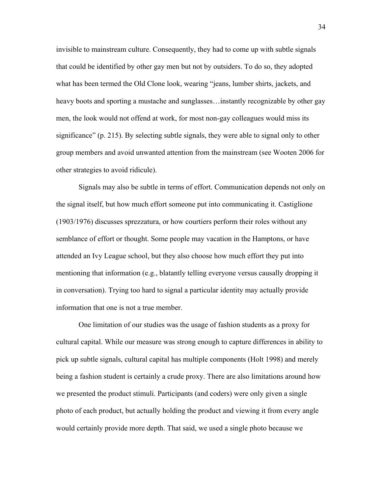invisible to mainstream culture. Consequently, they had to come up with subtle signals that could be identified by other gay men but not by outsiders. To do so, they adopted what has been termed the Old Clone look, wearing "jeans, lumber shirts, jackets, and heavy boots and sporting a mustache and sunglasses…instantly recognizable by other gay men, the look would not offend at work, for most non-gay colleagues would miss its significance" (p. 215). By selecting subtle signals, they were able to signal only to other group members and avoid unwanted attention from the mainstream (see Wooten 2006 for other strategies to avoid ridicule).

Signals may also be subtle in terms of effort. Communication depends not only on the signal itself, but how much effort someone put into communicating it. Castiglione (1903/1976) discusses sprezzatura, or how courtiers perform their roles without any semblance of effort or thought. Some people may vacation in the Hamptons, or have attended an Ivy League school, but they also choose how much effort they put into mentioning that information (e.g., blatantly telling everyone versus causally dropping it in conversation). Trying too hard to signal a particular identity may actually provide information that one is not a true member.

One limitation of our studies was the usage of fashion students as a proxy for cultural capital. While our measure was strong enough to capture differences in ability to pick up subtle signals, cultural capital has multiple components (Holt 1998) and merely being a fashion student is certainly a crude proxy. There are also limitations around how we presented the product stimuli. Participants (and coders) were only given a single photo of each product, but actually holding the product and viewing it from every angle would certainly provide more depth. That said, we used a single photo because we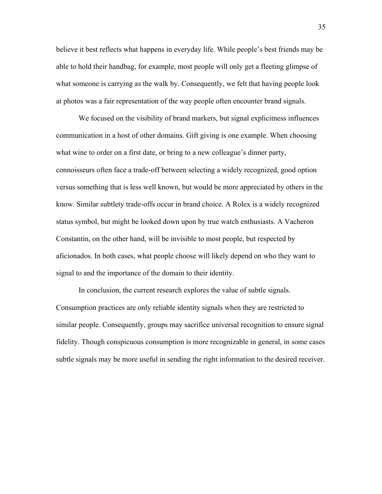believe it best reflects what happens in everyday life. While people's best friends may be able to hold their handbag, for example, most people will only get a fleeting glimpse of what someone is carrying as the walk by. Consequently, we felt that having people look at photos was a fair representation of the way people often encounter brand signals.

We focused on the visibility of brand markers, but signal explicitness influences communication in a host of other domains. Gift giving is one example. When choosing what wine to order on a first date, or bring to a new colleague's dinner party, connoisseurs often face a trade-off between selecting a widely recognized, good option versus something that is less well known, but would be more appreciated by others in the know. Similar subtlety trade-offs occur in brand choice. A Rolex is a widely recognized status symbol, but might be looked down upon by true watch enthusiasts. A Vacheron Constantin, on the other hand, will be invisible to most people, but respected by aficionados. In both cases, what people choose will likely depend on who they want to signal to and the importance of the domain to their identity.

In conclusion, the current research explores the value of subtle signals. Consumption practices are only reliable identity signals when they are restricted to similar people. Consequently, groups may sacrifice universal recognition to ensure signal fidelity. Though conspicuous consumption is more recognizable in general, in some cases subtle signals may be more useful in sending the right information to the desired receiver.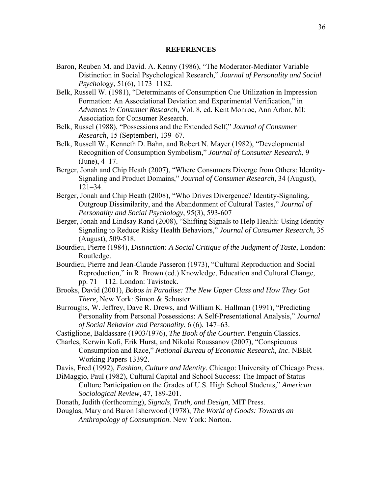#### **REFERENCES**

- Baron, Reuben M. and David. A. Kenny (1986), "The Moderator-Mediator Variable Distinction in Social Psychological Research," *Journal of Personality and Social Psych*ology, 51(6), 1173–1182.
- Belk, Russell W. (1981), "Determinants of Consumption Cue Utilization in Impression Formation: An Associational Deviation and Experimental Verification," in *Advances in Consumer Research*, Vol. 8, ed. Kent Monroe, Ann Arbor, MI: Association for Consumer Research.
- Belk, Russel (1988), "Possessions and the Extended Self," *Journal of Consumer Research*, 15 (September), 139–67.
- Belk, Russell W., Kenneth D. Bahn, and Robert N. Mayer (1982), "Developmental Recognition of Consumption Symbolism," *Journal of Consumer Research*, 9 (June), 4–17.
- Berger, Jonah and Chip Heath (2007), "Where Consumers Diverge from Others: Identity-Signaling and Product Domains," *Journal of Consumer Research*, 34 (August), 121–34.
- Berger, Jonah and Chip Heath (2008), "Who Drives Divergence? Identity-Signaling, Outgroup Dissimilarity, and the Abandonment of Cultural Tastes," *Journal of Personality and Social Psychology*, 95(3), 593-607
- Berger, Jonah and Lindsay Rand (2008), "Shifting Signals to Help Health: Using Identity Signaling to Reduce Risky Health Behaviors," *Journal of Consumer Research*, 35 (August), 509-518.
- Bourdieu, Pierre (1984), *Distinction: A Social Critique of the Judgment of Taste*, London: Routledge.
- Bourdieu, Pierre and Jean-Claude Passeron (1973), "Cultural Reproduction and Social Reproduction," in R. Brown (ed.) Knowledge, Education and Cultural Change, pp. 71—112. London: Tavistock.
- Brooks, David (2001), *Bobos in Paradise: The New Upper Class and How They Got There*, New York: Simon & Schuster.
- Burroughs, W. Jeffrey, Dave R. Drews, and William K. Hallman (1991), "Predicting Personality from Personal Possessions: A Self-Presentational Analysis," *Journal of Social Behavior and Personality*, 6 (6), 147–63.
- Castiglione, Baldassare (1903/1976), *The Book of the Courtier.* Penguin Classics.
- Charles, Kerwin Kofi, Erik Hurst, and Nikolai Roussanov (2007), "Conspicuous Consumption and Race," *National Bureau of Economic Research, Inc*. NBER Working Papers 13392.
- Davis, Fred (1992), *Fashion, Culture and Identity*. Chicago: University of Chicago Press.
- DiMaggio, Paul (1982), Cultural Capital and School Success: The Impact of Status Culture Participation on the Grades of U.S. High School Students," *American Sociological Review,* 47, 189-201.
- Donath, Judith (forthcoming), *Signals, Truth, and Design*, MIT Press.
- Douglas, Mary and Baron Isherwood (1978), *The World of Goods: Towards an Anthropology of Consumption*. New York: Norton.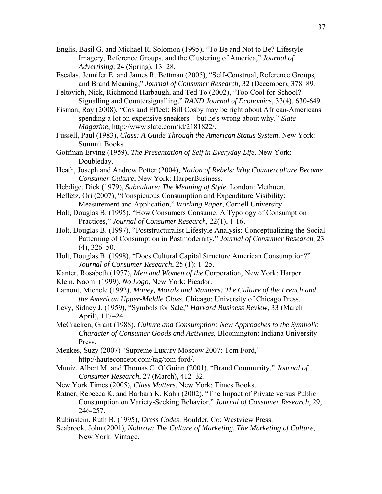- Englis, Basil G. and Michael R. Solomon (1995), "To Be and Not to Be? Lifestyle Imagery, Reference Groups, and the Clustering of America," *Journal of Advertising*, 24 (Spring), 13–28.
- Escalas, Jennifer E. and James R. Bettman (2005), "Self-Construal, Reference Groups, and Brand Meaning," *Journal of Consumer Research*, 32 (December), 378–89.
- Feltovich, Nick, Richmond Harbaugh, and Ted To (2002), "Too Cool for School? Signalling and Countersignalling," *RAND Journal of Economics*, 33(4), 630-649.
- Fisman, Ray (2008), "Cos and Effect: Bill Cosby may be right about African-Americans spending a lot on expensive sneakers—but he's wrong about why." *Slate Magazine*, http://www.slate.com/id/2181822/.
- Fussell, Paul (1983), *Class: A Guide Through the American Status System*. New York: Summit Books.
- Goffman Erving (1959), *The Presentation of Self in Everyday Life*. New York: Doubleday.
- Heath, Joseph and Andrew Potter (2004), *Nation of Rebels: Why Counterculture Became Consumer Culture*, New York: HarperBusiness.
- Hebdige, Dick (1979), *Subculture: The Meaning of Style.* London: Methuen.
- Heffetz, Ori (2007), "Conspicuous Consumption and Expenditure Visibility: Measurement and Application," *Working Paper*, Cornell University
- Holt, Douglas B. (1995), "How Consumers Consume: A Typology of Consumption Practices," *Journal of Consumer Research*, 22(1), 1-16.
- Holt, Douglas B. (1997), "Poststructuralist Lifestyle Analysis: Conceptualizing the Social Patterning of Consumption in Postmodernity," *Journal of Consumer Research*, 23  $(4)$ , 326–50.
- Holt, Douglas B. (1998), "Does Cultural Capital Structure American Consumption?" *Journal of Consumer Research*, 25 (1): 1–25.
- Kanter, Rosabeth (1977), *Men and Women of the* Corporation, New York: Harper.
- Klein, Naomi (1999), *No Logo*, New York: Picador.
- Lamont, Michele (1992), *Money, Morals and Manners: The Culture of the French and the American Upper-Middle Class*. Chicago: University of Chicago Press.
- Levy, Sidney J. (1959), "Symbols for Sale," *Harvard Business Review*, 33 (March– April), 117–24.
- McCracken, Grant (1988), *Culture and Consumption: New Approaches to the Symbolic Character of Consumer Goods and Activities*, Bloomington: Indiana University Press.
- Menkes, Suzy (2007) "Supreme Luxury Moscow 2007: Tom Ford," http://hauteconcept.com/tag/tom-ford/.
- Muniz, Albert M. and Thomas C. O'Guinn (2001), "Brand Community," *Journal of Consumer Research*, 27 (March), 412–32.
- New York Times (2005), *Class Matters*. New York: Times Books.
- Ratner, Rebecca K. and Barbara K. Kahn (2002), "The Impact of Private versus Public Consumption on Variety-Seeking Behavior," *Journal of Consumer Research*, 29, 246-257.
- Rubinstein, Ruth B. (1995), *Dress Codes*. Boulder, Co: Westview Press.
- Seabrook, John (2001), *Nobrow: The Culture of Marketing, The Marketing of Culture*, New York: Vintage.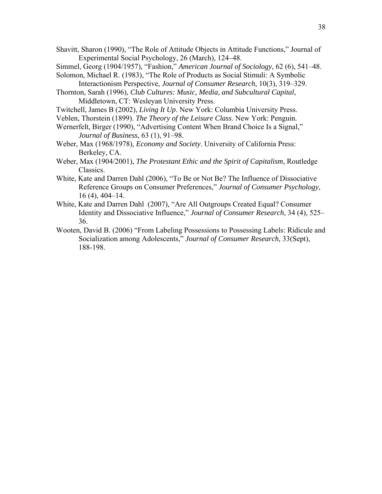- Shavitt, Sharon (1990), "The Role of Attitude Objects in Attitude Functions," Journal of Experimental Social Psychology, 26 (March), 124–48.
- Simmel, Georg (1904/1957), "Fashion," *American Journal of Sociology*, 62 (6), 541–48. Solomon, Michael R. (1983), "The Role of Products as Social Stimuli: A Symbolic
- Interactionism Perspective, *Journal of Consumer Research,* 10(3), 319–329.
- Thornton, Sarah (1996), *Club Cultures: Music, Media, and Subcultural Capital*, Middletown, CT: Wesleyan University Press.
- Twitchell, James B (2002), *Living It Up*. New York: Columbia University Press.
- Veblen, Thorstein (1899). *The Theory of the Leisure Class*. New York: Penguin.
- Wernerfelt, Birger (1990), "Advertising Content When Brand Choice Is a Signal," *Journal of Business*, 63 (1), 91–98.
- Weber, Max (1968/1978), *Economy and Society*. University of California Press: Berkeley, CA.
- Weber, Max (1904/2001), *The Protestant Ethic and the Spirit of Capitalism*, Routledge Classics.
- White, Kate and Darren Dahl (2006), "To Be or Not Be? The Influence of Dissociative Reference Groups on Consumer Preferences," *Journal of Consumer Psychology*, 16 (4), 404–14.
- White, Kate and Darren Dahl (2007), "Are All Outgroups Created Equal? Consumer Identity and Dissociative Influence," *Journal of Consumer Research*, 34 (4), 525– 36.
- Wooten, David B. (2006) "From Labeling Possessions to Possessing Labels: Ridicule and Socialization among Adolescents," *Journal of Consumer Research,* 33(Sept), 188-198.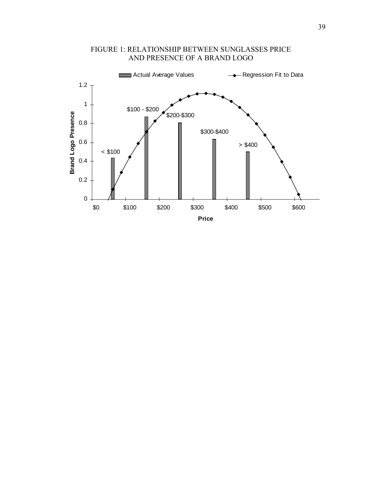

FIGURE 1: RELATIONSHIP BETWEEN SUNGLASSES PRICE AND PRESENCE OF A BRAND LOGO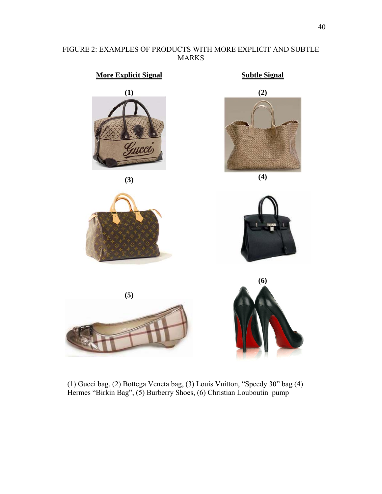# FIGURE 2: EXAMPLES OF PRODUCTS WITH MORE EXPLICIT AND SUBTLE MARKS



(1) Gucci bag, (2) Bottega Veneta bag, (3) Louis Vuitton, "Speedy 30" bag (4) Hermes "Birkin Bag", (5) Burberry Shoes, (6) Christian Louboutin pump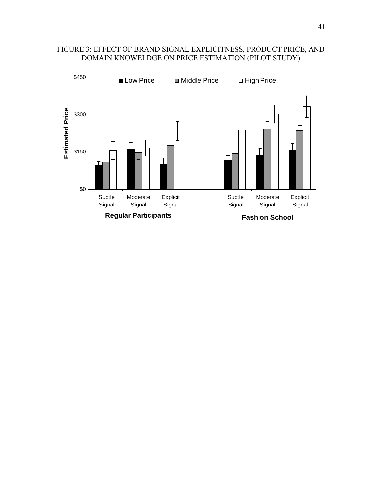

# FIGURE 3: EFFECT OF BRAND SIGNAL EXPLICITNESS, PRODUCT PRICE, AND DOMAIN KNOWELDGE ON PRICE ESTIMATION (PILOT STUDY)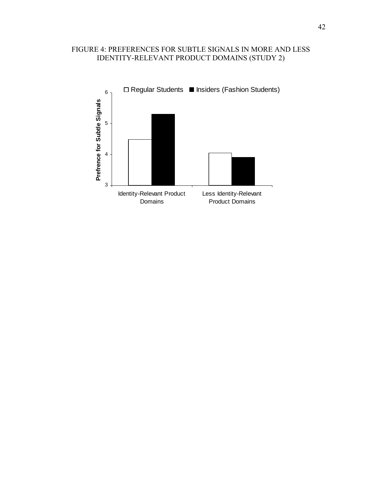# FIGURE 4: PREFERENCES FOR SUBTLE SIGNALS IN MORE AND LESS IDENTITY-RELEVANT PRODUCT DOMAINS (STUDY 2)

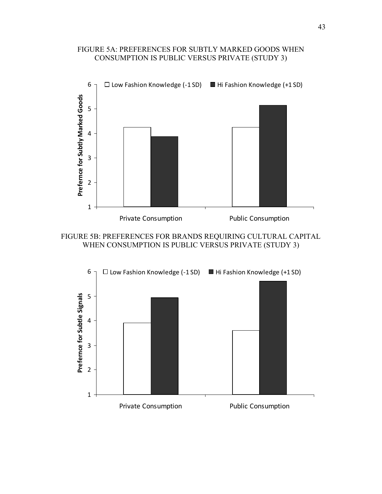# FIGURE 5A: PREFERENCES FOR SUBTLY MARKED GOODS WHEN CONSUMPTION IS PUBLIC VERSUS PRIVATE (STUDY 3)



FIGURE 5B: PREFERENCES FOR BRANDS REQUIRING CULTURAL CAPITAL WHEN CONSUMPTION IS PUBLIC VERSUS PRIVATE (STUDY 3)

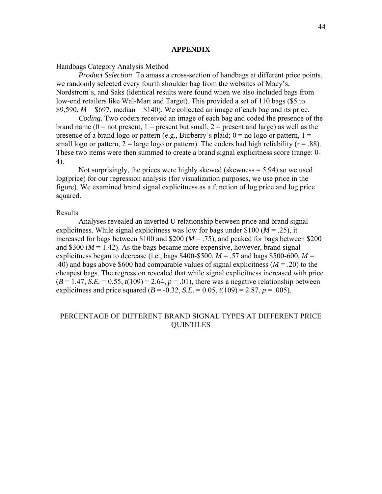#### **APPENDIX**

#### Handbags Category Analysis Method

*Product Selection*. To amass a cross-section of handbags at different price points, we randomly selected every fourth shoulder bag from the websites of Macy's, Nordstrom's, and Saks (identical results were found when we also included bags from low-end retailers like Wal-Mart and Target). This provided a set of 110 bags (\$5 to \$9,590,  $M = $697$ , median  $= $140$ ). We collected an image of each bag and its price.

*Coding*. Two coders received an image of each bag and coded the presence of the brand name ( $0 = not present$ ,  $1 = present$  but small,  $2 = present$  and large) as well as the presence of a brand logo or pattern (e.g., Burberry's plaid;  $0 =$  no logo or pattern,  $1 =$ small logo or pattern,  $2 = \text{large}$  logo or pattern). The coders had high reliability ( $r = .88$ ). These two items were then summed to create a brand signal explicitness score (range: 0- 4).

Not surprisingly, the prices were highly skewed (skewness  $= 5.94$ ) so we used log(price) for our regression analysis (for visualization purposes, we use price in the figure). We examined brand signal explicitness as a function of log price and log price squared.

#### Results

Analyses revealed an inverted U relationship between price and brand signal explicitness. While signal explicitness was low for bags under \$100 ( $M = .25$ ), it increased for bags between \$100 and \$200 ( $M = .75$ ), and peaked for bags between \$200 and \$300 ( $M = 1.42$ ). As the bags became more expensive, however, brand signal explicitness began to decrease (i.e., bags \$400-\$500,  $M = .57$  and bags \$500-600,  $M =$ .40) and bags above \$600 had comparable values of signal explicitness (*M* = .20) to the cheapest bags. The regression revealed that while signal explicitness increased with price  $(B = 1.47, S.E. = 0.55, t(109) = 2.64, p = .01)$ , there was a negative relationship between explicitness and price squared ( $B = -0.32$ , *S.E.* = 0.05,  $t(109) = 2.87$ ,  $p = .005$ ).

# PERCENTAGE OF DIFFERENT BRAND SIGNAL TYPES AT DIFFERENT PRICE **OUINTILES**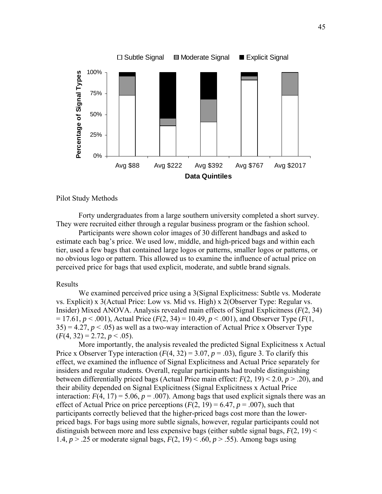![](_page_46_Figure_0.jpeg)

Pilot Study Methods

 Forty undergraduates from a large southern university completed a short survey. They were recruited either through a regular business program or the fashion school.

Participants were shown color images of 30 different handbags and asked to estimate each bag's price. We used low, middle, and high-priced bags and within each tier, used a few bags that contained large logos or patterns, smaller logos or patterns, or no obvious logo or pattern. This allowed us to examine the influence of actual price on perceived price for bags that used explicit, moderate, and subtle brand signals.

#### Results

We examined perceived price using a 3(Signal Explicitness: Subtle vs. Moderate vs. Explicit) x 3(Actual Price: Low vs. Mid vs. High) x 2(Observer Type: Regular vs. Insider) Mixed ANOVA. Analysis revealed main effects of Signal Explicitness (*F*(2, 34)  $= 17.61, p < .001$ ), Actual Price (*F*(2, 34) = 10.49, *p* < .001), and Observer Type (*F*(1,  $35$ ) = 4.27,  $p < 0.05$ ) as well as a two-way interaction of Actual Price x Observer Type  $(F(4, 32) = 2.72, p < .05)$ .

More importantly, the analysis revealed the predicted Signal Explicitness x Actual Price x Observer Type interaction  $(F(4, 32) = 3.07, p = .03)$ , figure 3. To clarify this effect, we examined the influence of Signal Explicitness and Actual Price separately for insiders and regular students. Overall, regular participants had trouble distinguishing between differentially priced bags (Actual Price main effect: *F*(2, 19) < 2.0, *p* > .20), and their ability depended on Signal Explicitness (Signal Explicitness x Actual Price interaction:  $F(4, 17) = 5.06$ ,  $p = .007$ ). Among bags that used explicit signals there was an effect of Actual Price on price perceptions  $(F(2, 19) = 6.47, p = .007)$ , such that participants correctly believed that the higher-priced bags cost more than the lowerpriced bags. For bags using more subtle signals, however, regular participants could not distinguish between more and less expensive bags (either subtle signal bags,  $F(2, 19)$  < 1.4, *p* > .25 or moderate signal bags, *F*(2, 19) < .60, *p* > .55). Among bags using